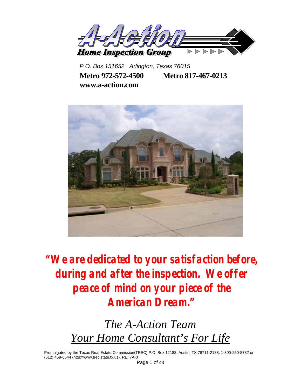

*P.O. Box 151652 Arlington, Texas 76015*  **Metro 972-572-4500 Metro 817-467-0213 www.a-action.com**



**"We are dedicated to your satisfaction before, during and after the inspection. We offer peace of mind on your piece of the American Dream."** 

> *The A-Action Team Your Home Consultant's For Life*

Promulgated by the Texas Real Estate Commission(TREC) P.O. Box 12188, Austin, TX 78711-2188, 1-800-250-8732 or (512) 459-6544 (http:\\www.trec.state.tx.us). REI 7A-0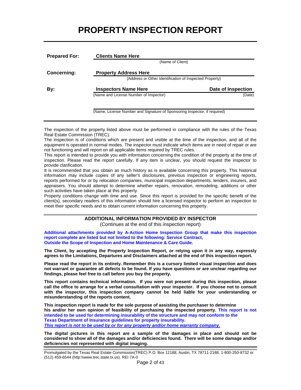# **PROPERTY INSPECTION REPORT**

| <b>Prepared For:</b> | <b>Clients Name Here</b>                                                                |                    |  |  |  |
|----------------------|-----------------------------------------------------------------------------------------|--------------------|--|--|--|
|                      | (Name of Client)                                                                        |                    |  |  |  |
| <b>Concerning:</b>   | <b>Property Address Here</b><br>(Address or Other Identification of Inspected Property) |                    |  |  |  |
| By:                  | <b>Inspectors Name Here</b>                                                             | Date of Inspection |  |  |  |
|                      | (Name and License Number of Inspector)                                                  | (Date)             |  |  |  |
|                      |                                                                                         |                    |  |  |  |

(Name, License Number and Signature of Sponsoring Inspector, if required)

The inspection of the property listed above must be performed in compliance with the rules of the Texas Real Estate Commission (TREC).

The inspection is of conditions which are present and visible at the time of the inspection, and all of the equipment is operated in normal modes. The inspector must indicate which items are in need of repair or are not functioning and will report on all applicable items required by TREC rules.

This report is intended to provide you with information concerning the condition of the property at the time of inspection. Please read the report carefully. If any item is unclear, you should request the inspector to provide clarification.

It is recommended that you obtain as much history as is available concerning this property. This historical information may include copies of any seller's disclosures, previous inspection or engineering reports, reports performed for or by relocation companies, municipal inspection departments, lenders, insurers, and appraisers. You should attempt to determine whether repairs, renovation, remodeling, additions or other such activities have taken place at this property.

Property conditions change with time and use. Since this report is provided for the specific benefit of the client(s), secondary readers of this information should hire a licensed inspector to perform an inspection to meet their specific needs and to obtain current information concerning this property.

## **ADDITIONAL INFORMATION PROVIDED BY INSPECTOR**

(Continues at the end of this inspection report)

**Additional attachments provided by A-Action Home Inspection Group that make this inspection report complete are listed but not limited to the following: Service Contract, Outside the Scope of Inspection and Home Maintenance & Care Guide.** 

**The Client, by accepting the Property Inspection Report, or relying upon it in any way, expressly agrees to the Limitations, Departures and Disclaimers attached at the end of this inspection report.** 

**Please read the report in its entirety. Remember this is a cursory limited visual inspection and does not warrant or guarantee all defects to be found. If you have questions or are unclear regarding our findings, please feel free to call before you buy the property.** 

**This report contains technical information. If you were not present during this inspection, please call the office to arrange for a verbal consultation with your inspector. If you choose not to consult with the inspector, this inspection company cannot be held liable for your understanding or misunderstanding of the reports content.** 

**This inspection report is made for the sole purpose of assisting the purchaser to determine his and/or her own opinion of feasibility of purchasing the inspected property. This report is not intended to be used for determining insurability of the structure and may not conform to the Texas Department of Insurance guidelines for property insurability.**  *This report is not to be used by or for any property and/or home warranty company.*

**The digital pictures in this report are a sample of the damages in place and should not be considered to show all of the damages and/or deficiencies found. There will be some damage and/or deficiencies not represented with digital imaging.**

Promulgated by the Texas Real Estate Commission(TREC) P.O. Box 12188, Austin, TX 78711-2188, 1-800-250-8732 or (512) 459-6544 (http:\\www.trec.state.tx.us). REI 7A-0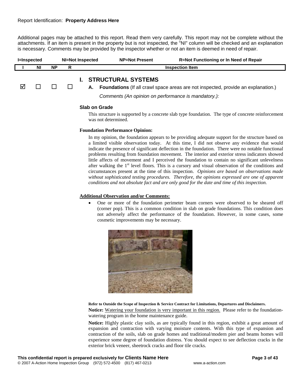Additional pages may be attached to this report. Read them very carefully. This report may not be complete without the attachments. If an item is present in the property but is not inspected, the "NI" column will be checked and an explanation is necessary. Comments may be provided by the inspector whether or not an item is deemed in need of repair.

| <b>I=Inspected</b> |           |           | NI=Not Inspected | <b>NP=Not Present</b> | <b>R=Not Functioning or In Need of Repair</b> |
|--------------------|-----------|-----------|------------------|-----------------------|-----------------------------------------------|
|                    | <b>NI</b> | <b>NP</b> |                  |                       | Inspection Item                               |
|                    |           |           |                  |                       |                                               |

## **I. STRUCTURAL SYSTEMS**

 $\Box$   $\Box$   $\Box$  **A. Foundations** (If all crawl space areas are not inspected, provide an explanation.)

*Comments (An opinion on performance is mandatory.):*

#### **Slab on Grade**

This structure is supported by a concrete slab type foundation. The type of concrete reinforcement was not determined.

#### **Foundation Performance Opinion:**

In my opinion, the foundation appears to be providing adequate support for the structure based on a limited visible observation today. At this time, I did not observe any evidence that would indicate the presence of significant deflection in the foundation. There were no notable functional problems resulting from foundation movement. The interior and exterior stress indicators showed little affects of movement and I perceived the foundation to contain no significant unlevelness after walking the  $1<sup>st</sup>$  level floors. This is a cursory and visual observation of the conditions and circumstances present at the time of this inspection. *Opinions are based on observations made without sophisticated testing procedures. Therefore, the opinions expressed are one of apparent conditions and not absolute fact and are only good for the date and time of this inspection.* 

#### **Additional Observation and/or Comments:**

• One or more of the foundation perimeter beam corners were observed to be sheared off (corner pop). This is a common condition in slab on grade foundations. This condition does not adversely affect the performance of the foundation. However, in some cases, some cosmetic improvements may be necessary.



#### **Refer to Outside the Scope of Inspection & Service Contract for Limitations, Departures and Disclaimers.**

**Notice:** Watering your foundation is very important in this region. Please refer to the foundationwatering program in the home maintenance guide.

**Notice:** Highly plastic clay soils, as are typically found in this region, exhibit a great amount of expansion and contraction with varying moisture contents. With this type of expansion and contraction of the soils, slab on grade homes and traditional/modern pier and beams homes will experience some degree of foundation distress. You should expect to see deflection cracks in the exterior brick veneer, sheetrock cracks and floor tile cracks.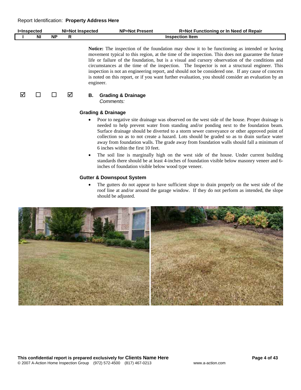|                |    | NI=Not<br><b>ispected</b> | NP=Not<br>: Present | <b>Functioning or In Need of Repair</b><br>R=Not ' |
|----------------|----|---------------------------|---------------------|----------------------------------------------------|
| N <sub>1</sub> | ΝP |                           |                     | ltem<br>:tıon<br>inspec                            |
|                |    |                           |                     |                                                    |

**Notice:** The inspection of the foundation may show it to be functioning as intended or having movement typical to this region, at the time of the inspection. This does not guarantee the future life or failure of the foundation, but is a visual and cursory observation of the conditions and circumstances at the time of the inspection. The Inspector is not a structural engineer. This inspection is not an engineering report, and should not be considered one. If any cause of concern is noted on this report, or if you want further evaluation, you should consider an evaluation by an engineer.

## $\boxed{0}$  **D D Ø B.** Grading & Drainage

*Comments:*

#### **Grading & Drainage**

- Poor to negative site drainage was observed on the west side of the house. Proper drainage is needed to help prevent water from standing and/or ponding next to the foundation beam. Surface drainage should be diverted to a storm sewer conveyance or other approved point of collection so as to not create a hazard. Lots should be graded so as to drain surface water away from foundation walls. The grade away from foundation walls should fall a minimum of 6 inches within the first 10 feet.
- The soil line is marginally high on the west side of the house. Under current building standards there should be at least 4-inches of foundation visible below masonry veneer and 6 inches of foundation visible below wood type veneer.

## **Gutter & Downspout System**

The gutters do not appear to have sufficient slope to drain properly on the west side of the roof line at and/or around the garage window. If they do not perform as intended, the slope should be adjusted.

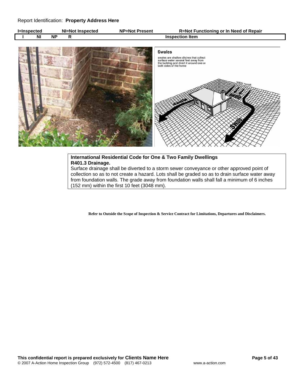| l=Inspected |           | NI=Not Inspected | <b>NP=Not Present</b> | <b>R=Not Functioning or In Need of Repair</b> |
|-------------|-----------|------------------|-----------------------|-----------------------------------------------|
| NI          | <b>NF</b> |                  |                       | <b>Inspection Item</b>                        |



## **International Residential Code for One & Two Family Dwellings R401.3 Drainage.**

Surface drainage shall be diverted to a storm sewer conveyance or other approved point of collection so as to not create a hazard. Lots shall be graded so as to drain surface water away from foundation walls. The grade away from foundation walls shall fall a minimum of 6 inches (152 mm) within the first 10 feet (3048 mm).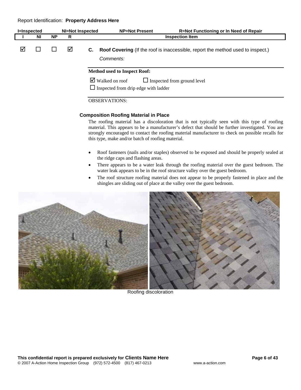| <b>I=Inspected</b> |    |           | NI=Not Inspected |    | <b>NP=Not Present</b>                                                          | R=Not Functioning or In Need of Repair                                          |
|--------------------|----|-----------|------------------|----|--------------------------------------------------------------------------------|---------------------------------------------------------------------------------|
|                    | ΝI | <b>NP</b> | R                |    |                                                                                | <b>Inspection Item</b>                                                          |
| ☑                  |    |           | ⊠                | C. | Comments:                                                                      | Roof Covering (If the roof is inaccessible, report the method used to inspect.) |
|                    |    |           |                  |    | <b>Method used to Inspect Roof:</b>                                            |                                                                                 |
|                    |    |           |                  |    | $\triangleright$ Walked on roof<br>$\Box$ Inspected from drip edge with ladder | $\Box$ Inspected from ground level                                              |
|                    |    |           |                  |    | <b>OBSERVATIONS:</b>                                                           |                                                                                 |

#### **Composition Roofing Material in Place**

The roofing material has a discoloration that is not typically seen with this type of roofing material. This appears to be a manufacturer's defect that should be further investigated. You are strongly encouraged to contact the roofing material manufacturer to check on possible recalls for this type, make and/or batch of roofing material.

- Roof fasteners (nails and/or staples) observed to be exposed and should be properly sealed at the ridge caps and flashing areas.
- There appears to be a water leak through the roofing material over the guest bedroom. The water leak appears to be in the roof structure valley over the guest bedroom.
- The roof structure roofing material does not appear to be properly fastened in place and the shingles are sliding out of place at the valley over the guest bedroom.



Roofing discoloration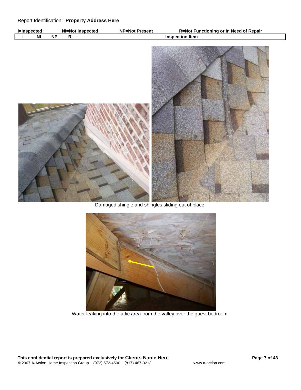

Damaged shingle and shingles sliding out of place.



Water leaking into the attic area from the valley over the guest bedroom.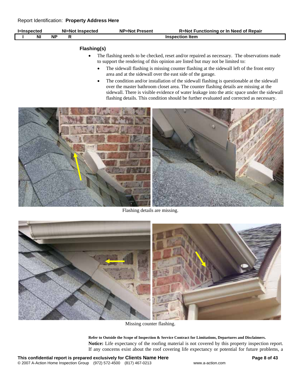| l=Inspected |    | NI=Not Inspected |  | <b>NP=Not Present</b> | R=Not Functioning or In Need of Repair |
|-------------|----|------------------|--|-----------------------|----------------------------------------|
|             | ΝI | <b>NP</b>        |  |                       | <b>Inspection Item</b>                 |
|             |    |                  |  |                       |                                        |

## **Flashing(s)**

- The flashing needs to be checked, reset and/or repaired as necessary. The observations made to support the rendering of this opinion are listed but may not be limited to:
	- The sidewall flashing is missing counter flashing at the sidewall left of the front entry area and at the sidewall over the east side of the garage.
	- The condition and/or installation of the sidewall flashing is questionable at the sidewall over the master bathroom closet area. The counter flashing details are missing at the sidewall. There is visible evidence of water leakage into the attic space under the sidewall flashing details. This condition should be further evaluated and corrected as necessary.



Flashing details are missing.



Missing counter flashing.

**Refer to Outside the Scope of Inspection & Service Contract for Limitations, Departures and Disclaimers. Notice:** Life expectancy of the roofing material is not covered by this property inspection report. If any concerns exist about the roof covering life expectancy or potential for future problems, a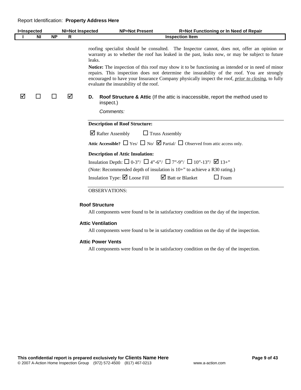|   | <b>I=Inspected</b> |           | <b>NI=Not Inspected</b> | <b>NP=Not Present</b><br>R=Not Functioning or In Need of Repair                                                                                                                                                                                                                                                                                               |
|---|--------------------|-----------|-------------------------|---------------------------------------------------------------------------------------------------------------------------------------------------------------------------------------------------------------------------------------------------------------------------------------------------------------------------------------------------------------|
|   | ΝI                 | <b>NP</b> | R                       | <b>Inspection Item</b>                                                                                                                                                                                                                                                                                                                                        |
|   |                    |           |                         | roofing specialist should be consulted. The Inspector cannot, does not, offer an opinion or<br>warranty as to whether the roof has leaked in the past, leaks now, or may be subject to future<br>leaks.                                                                                                                                                       |
|   |                    |           |                         | <b>Notice:</b> The inspection of this roof may show it to be functioning as intended or in need of minor<br>repairs. This inspection does not determine the insurability of the roof. You are strongly<br>encouraged to have your Insurance Company physically inspect the roof, <i>prior to closing</i> , to fully<br>evaluate the insurability of the roof. |
| ⋈ | ΙI                 |           | ⋈                       | <b>Roof Structure &amp; Attic</b> (If the attic is inaccessible, report the method used to<br>D.<br>inspect.)                                                                                                                                                                                                                                                 |
|   |                    |           |                         | Comments:                                                                                                                                                                                                                                                                                                                                                     |
|   |                    |           |                         | <b>Description of Roof Structure:</b>                                                                                                                                                                                                                                                                                                                         |
|   |                    |           |                         | $\triangleright$ Rafter Assembly<br>$\Box$ Truss Assembly                                                                                                                                                                                                                                                                                                     |
|   |                    |           |                         | Attic Accessible? $\Box$ Yes/ $\Box$ No/ $\Box$ Partial/ $\Box$ Observed from attic access only.                                                                                                                                                                                                                                                              |
|   |                    |           |                         | <b>Description of Attic Insulation:</b>                                                                                                                                                                                                                                                                                                                       |
|   |                    |           |                         | Insulation Depth: $\Box$ 0-3"/ $\Box$ 4"-6"/ $\Box$ 7"-9"/ $\Box$ 10"-13"/ $\Box$ 13+"                                                                                                                                                                                                                                                                        |
|   |                    |           |                         | (Note: Recommended depth of insulation is $10+$ " to achieve a R30 rating.)                                                                                                                                                                                                                                                                                   |
|   |                    |           |                         | Insulation Type: $\boxtimes$ Loose Fill $\boxtimes$ Batt or Blanket<br>$\Box$ Foam                                                                                                                                                                                                                                                                            |
|   |                    |           |                         | <b>OBSERVATIONS:</b>                                                                                                                                                                                                                                                                                                                                          |
|   |                    |           |                         | <b>Roof Structure</b>                                                                                                                                                                                                                                                                                                                                         |
|   |                    |           |                         | All components were found to be in satisfactory condition on the day of the inspection.                                                                                                                                                                                                                                                                       |

#### **Attic Ventilation**

All components were found to be in satisfactory condition on the day of the inspection.

#### **Attic Power Vents**

All components were found to be in satisfactory condition on the day of the inspection.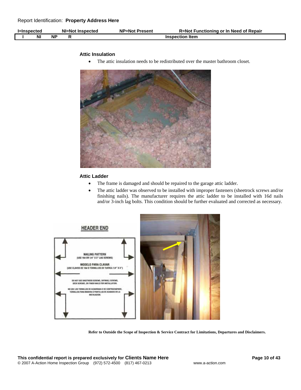| l=Inspected | NI=Not Inspected | <b>NP=Not Present</b> | R=Not Functioning or In Need of Repair |
|-------------|------------------|-----------------------|----------------------------------------|
| NI          | <b>NF</b>        |                       | <b>Inspection Item</b>                 |

#### **Attic Insulation**

• The attic insulation needs to be redistributed over the master bathroom closet.



## **Attic Ladder**

- The frame is damaged and should be repaired to the garage attic ladder.
- The attic ladder was observed to be installed with improper fasteners (sheetrock screws and/or finishing nails). The manufacturer requires the attic ladder to be installed with 16d nails and/or 3-inch lag bolts. This condition should be further evaluated and corrected as necessary.

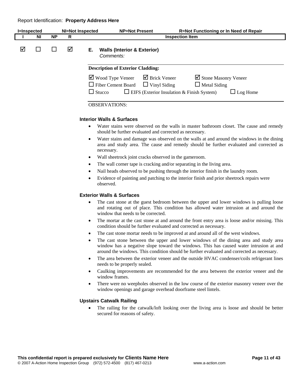| <b>I</b> =Inspected |    |           | <b>NI=Not Inspected</b> | <b>NP=Not Present</b>                                                          |                                                                                                                  | <b>R=Not Functioning or In Need of Repair</b>                  |
|---------------------|----|-----------|-------------------------|--------------------------------------------------------------------------------|------------------------------------------------------------------------------------------------------------------|----------------------------------------------------------------|
|                     | ΝI | <b>NP</b> | R                       |                                                                                | <b>Inspection Item</b>                                                                                           |                                                                |
| ☑                   |    |           | ☑                       | Е.<br>Comments:                                                                | <b>Walls (Interior &amp; Exterior)</b>                                                                           |                                                                |
|                     |    |           |                         | <b>Description of Exterior Cladding:</b>                                       |                                                                                                                  |                                                                |
|                     |    |           |                         | $\triangledown$ Wood Type Veneer<br>$\Box$ Fiber Cement Board<br>$\Box$ Stucco | $\overline{\mathbf{y}}$ Brick Veneer<br>$\Box$ Vinyl Siding<br>$\Box$ EIFS (Exterior Insulation & Finish System) | Stone Masonry Veneer<br>$\Box$ Metal Siding<br>$\Box$ Log Home |
|                     |    |           |                         | <b>OBSERVATIONS:</b>                                                           |                                                                                                                  |                                                                |

## **Interior Walls & Surfaces**

- Water stains were observed on the walls in master bathroom closet. The cause and remedy should be further evaluated and corrected as necessary.
- Water stains and damage was observed on the walls at and around the windows in the dining area and study area. The cause and remedy should be further evaluated and corrected as necessary.
- Wall sheetrock joint cracks observed in the gameroom.
- The wall corner tape is cracking and/or separating in the living area.
- Nail heads observed to be pushing through the interior finish in the laundry room.
- Evidence of painting and patching to the interior finish and prior sheetrock repairs were observed.

#### **Exterior Walls & Surfaces**

- The cast stone at the guest bedroom between the upper and lower windows is pulling loose and rotating out of place. This condition has allowed water intrusion at and around the window that needs to be corrected.
- The mortar at the cast stone at and around the front entry area is loose and/or missing. This condition should be further evaluated and corrected as necessary.
- The cast stone mortar needs to be improved at and around all of the west windows.
- The cast stone between the upper and lower windows of the dining area and study area window has a negative slope toward the windows. This has caused water intrusion at and around the windows. This condition should be further evaluated and corrected as necessary.
- The area between the exterior veneer and the outside HVAC condenser/coils refrigerant lines needs to be properly sealed.
- Caulking improvements are recommended for the area between the exterior veneer and the window frames.
- There were no weepholes observed in the low course of the exterior masonry veneer over the window openings and garage overhead doorframe steel lintels.

## **Upstairs Catwalk Railing**

• The railing for the catwalk/loft looking over the living area is loose and should be better secured for reasons of safety.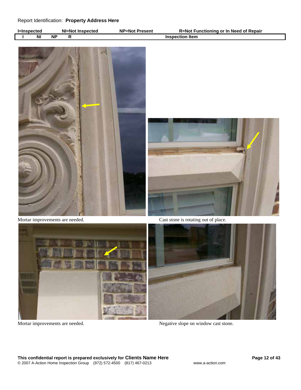| -Insnecter |           | NI.<br><b>Inspected</b><br>=Not | NP=Not<br>Present | ' Functioning or In Need of Repair<br>R=Not |
|------------|-----------|---------------------------------|-------------------|---------------------------------------------|
| <b>NI</b>  | <b>NP</b> |                                 |                   | ltem<br>±l∩n<br>Inspe                       |





Mortar improvements are needed. Cast stone is rotating out of place.





Mortar improvements are needed. Negative slope on window cast stone.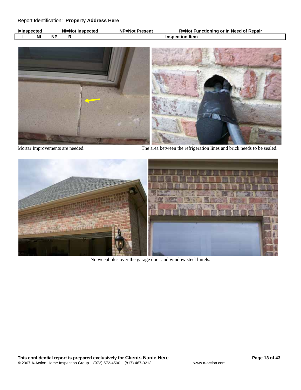| l=Inspected |    |    | NI=Not Inspected | <b>NP=Not Present</b> | R=Not Functioning or In Need of Repair |
|-------------|----|----|------------------|-----------------------|----------------------------------------|
|             | NI | ΝP |                  |                       | <b>Inspection Item</b>                 |



Mortar Improvements are needed. The area between the refrigeration lines and brick needs to be sealed.



No weepholes over the garage door and window steel lintels.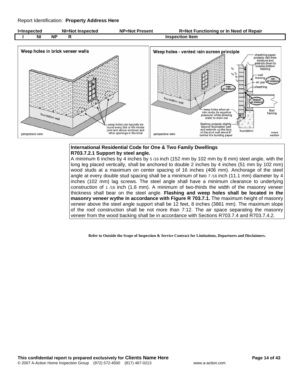



## **International Residential Code for One & Two Family Dwellings R703.7.2.1 Support by steel angle.**

A minimum 6 inches by 4 inches by 5 /16 inch (152 mm by 102 mm by 8 mm) steel angle, with the long leg placed vertically, shall be anchored to double 2 inches by 4 inches (51 mm by 102 mm) wood studs at a maximum on center spacing of 16 inches (406 mm). Anchorage of the steel angle at every double stud spacing shall be a minimum of two 7 /16 inch (11.1 mm) diameter by 4 inches (102 mm) lag screws. The steel angle shall have a minimum clearance to underlying construction of 1 /16 inch (1.6 mm). A minimum of two-thirds the width of the masonry veneer thickness shall bear on the steel angle. **Flashing and weep holes shall be located in the masonry veneer wythe in accordance with Figure R 703.7.1.** The maximum height of masonry veneer above the steel angle support shall be 12 feet, 8 inches (3861 mm). The maximum slope of the roof construction shall be not more than 7:12. The air space separating the masonry veneer from the wood backing shall be in accordance with Sections R703.7.4 and R703.7.4.2.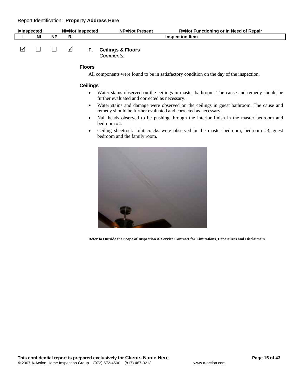| <b>I</b> =Inspected |           |    |   | NI=Not Inspected | <b>NP=Not Present</b>                   | <b>R=Not Functioning or In Need of Repair</b> |
|---------------------|-----------|----|---|------------------|-----------------------------------------|-----------------------------------------------|
|                     | <b>NI</b> | ΝP |   |                  |                                         | <b>Inspection Item</b>                        |
|                     |           |    | M | E.               | <b>Ceilings &amp; Floors</b><br>$O = 1$ |                                               |

*Comments:*

#### **Floors**

All components were found to be in satisfactory condition on the day of the inspection.

#### **Ceilings**

- Water stains observed on the ceilings in master bathroom. The cause and remedy should be further evaluated and corrected as necessary.
- Water stains and damage were observed on the ceilings in guest bathroom. The cause and remedy should be further evaluated and corrected as necessary.
- Nail heads observed to be pushing through the interior finish in the master bedroom and bedroom #4.
- Ceiling sheetrock joint cracks were observed in the master bedroom, bedroom #3, guest bedroom and the family room.

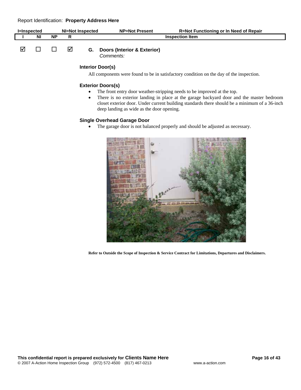| l=Inspected |    | NI=Not Inspected |   |    | <b>NP=Not Present</b>                  | R=Not Functioning or In Need of Repair |
|-------------|----|------------------|---|----|----------------------------------------|----------------------------------------|
|             | ΝI | <b>NP</b>        |   |    |                                        | <b>Inspection Item</b>                 |
|             |    |                  |   |    |                                        |                                        |
|             |    |                  | ₩ | G. | <b>Doors (Interior &amp; Exterior)</b> |                                        |

*Comments:*

## **Interior Door(s)**

All components were found to be in satisfactory condition on the day of the inspection.

#### **Exterior Doors(s)**

- The front entry door weather-stripping needs to be improved at the top.
- There is no exterior landing in place at the garage backyard door and the master bedroom closet exterior door. Under current building standards there should be a minimum of a 36-inch deep landing as wide as the door opening.

## **Single Overhead Garage Door**

• The garage door is not balanced properly and should be adjusted as necessary.

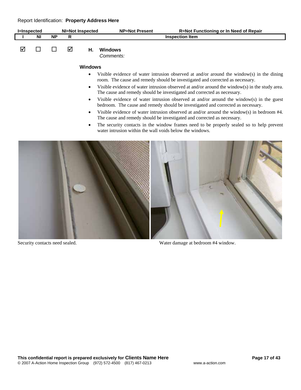| l=Inspected |    | NI=Not Inspected |   |                | <b>NP=Not Present</b> | R=Not Functioning or In Need of Repair |
|-------------|----|------------------|---|----------------|-----------------------|----------------------------------------|
|             | ΝI | <b>NP</b>        | R |                |                       | <b>Inspection Item</b>                 |
| ☑           |    |                  | ☑ | Η.             | Windows<br>Comments:  |                                        |
|             |    |                  |   | <b>Windows</b> |                       |                                        |

- Visible evidence of water intrusion observed at and/or around the window(s) in the dining room. The cause and remedy should be investigated and corrected as necessary.
- Visible evidence of water intrusion observed at and/or around the window(s) in the study area. The cause and remedy should be investigated and corrected as necessary.
- Visible evidence of water intrusion observed at and/or around the window(s) in the guest bedroom. The cause and remedy should be investigated and corrected as necessary.
- Visible evidence of water intrusion observed at and/or around the window(s) in bedroom #4. The cause and remedy should be investigated and corrected as necessary.
- The security contacts in the window frames need to be properly sealed so to help prevent water intrusion within the wall voids below the windows.





Security contacts need sealed. Water damage at bedroom #4 window.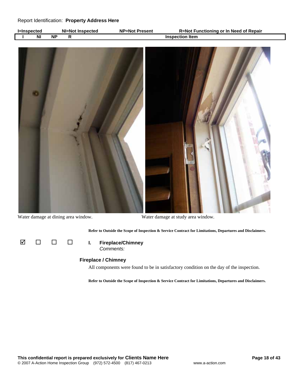| _Insnected |           | NI=Not Inspected | <b>NP=Not Present</b> | R=Not Functioning or In Need of Repair |
|------------|-----------|------------------|-----------------------|----------------------------------------|
| ΝI         | <b>NF</b> |                  |                       | <b>Inspection Item</b>                 |



Water damage at dining area window. Water damage at study area window.

**Refer to Outside the Scope of Inspection & Service Contract for Limitations, Departures and Disclaimers.** 



*Comments:*

#### **Fireplace / Chimney**

All components were found to be in satisfactory condition on the day of the inspection.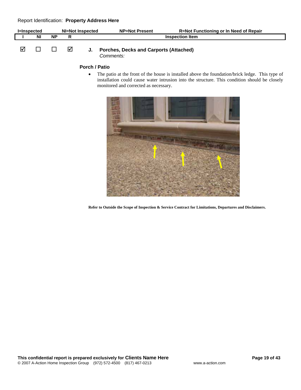| l=Inspected |    | NI=Not Inspected |  | <b>NP=Not Present</b>                     | <b>R=Not Functioning or In Need of Repair</b> |
|-------------|----|------------------|--|-------------------------------------------|-----------------------------------------------|
|             | ΝI | ΝP               |  |                                           | <b>Inspection Item</b>                        |
|             |    |                  |  | J. Porches, Decks and Carports (Attached) |                                               |

*Comments:*

#### **Porch / Patio**

• The patio at the front of the house is installed above the foundation/brick ledge. This type of installation could cause water intrusion into the structure. This condition should be closely monitored and corrected as necessary.

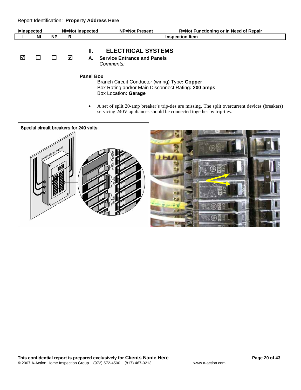| <b>I</b> =Inspected |    | NI=Not Inspected |     |          | <b>NP=Not Present</b>                                                        | <b>R=Not Functioning or In Need of Repair</b> |
|---------------------|----|------------------|-----|----------|------------------------------------------------------------------------------|-----------------------------------------------|
|                     | ΝI | ΝP               | R   |          |                                                                              | <b>Inspection Item</b>                        |
| ☑                   |    |                  | ا⊽ا | н.<br>А. | <b>ELECTRICAL SYSTEMS</b><br><b>Service Entrance and Panels</b><br>Comments: |                                               |

**Panel Box** 

Branch Circuit Conductor (wiring) Type**: Copper**  Box Rating and/or Main Disconnect Rating**: 200 amps**  Box Location**: Garage** 

• A set of split 20-amp breaker's trip-ties are missing. The split overcurrent devices (breakers) servicing 240V appliances should be connected together by trip-ties.

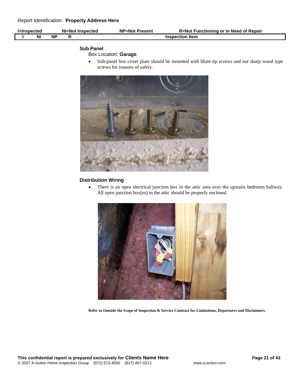| ⊫Inspected | NI=Not Inspected | <b>NP=Not Present</b> | t Functioning or In Need of Repair<br>R=Not |
|------------|------------------|-----------------------|---------------------------------------------|
| NI         | <b>NF</b>        |                       | Inspection Item                             |

## **Sub Panel**

## Box Location: **Garage**

• Sub-panel box cover plate should be mounted with blunt tip screws and not sharp wood type screws for reasons of safety.



## **Distribution Wiring**

• There is an open electrical junction box in the attic area over the upstairs bedroom hallway. All open junction box(es) in the attic should be properly enclosed.

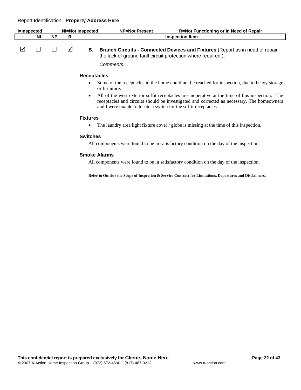| <b>I</b> =Inspected |    |           |   | <b>NI=Not Inspected</b> | <b>NP=Not Present</b>                                            | <b>R=Not Functioning or In Need of Repair</b>                                                                                                                                                 |
|---------------------|----|-----------|---|-------------------------|------------------------------------------------------------------|-----------------------------------------------------------------------------------------------------------------------------------------------------------------------------------------------|
|                     | ΝI | <b>NP</b> | R |                         |                                                                  | <b>Inspection Item</b>                                                                                                                                                                        |
| ☑                   |    |           | ⋈ | В.                      | the lack of ground fault circuit protection where required.):    | <b>Branch Circuits - Connected Devices and Fixtures (Report as in need of repair</b>                                                                                                          |
|                     |    |           |   |                         | Comments:                                                        |                                                                                                                                                                                               |
|                     |    |           |   | <b>Receptacles</b>      |                                                                  |                                                                                                                                                                                               |
|                     |    |           |   |                         | or furniture.                                                    | Some of the receptacles in the home could not be reached for inspection, due to heavy storage                                                                                                 |
|                     |    |           |   | $\bullet$               | and I were unable to locate a switch for the soffit receptacles. | All of the west exterior soffit receptacles are inoperative at the time of this inspection. The<br>receptacles and circuits should be investigated and corrected as necessary. The homeowners |
|                     |    |           |   | <b>Fixtures</b>         |                                                                  |                                                                                                                                                                                               |

• The laundry area light fixture cover / globe is missing at the time of this inspection.

#### **Switches**

All components were found to be in satisfactory condition on the day of the inspection.

#### **Smoke Alarms**

All components were found to be in satisfactory condition on the day of the inspection.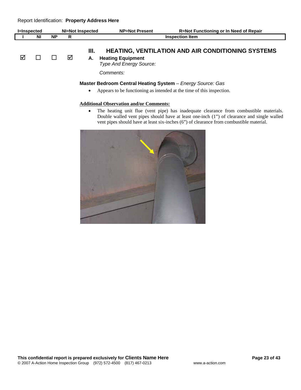| <b>I</b> =Inspected |    | NI=Not Inspected |   |            | <b>NP=Not Present</b>                                                                                                               | <b>R=Not Functioning or In Need of Repair</b>            |
|---------------------|----|------------------|---|------------|-------------------------------------------------------------------------------------------------------------------------------------|----------------------------------------------------------|
|                     | NI | <b>NP</b>        | R |            |                                                                                                                                     | <b>Inspection Item</b>                                   |
| ☑                   |    |                  | ☑ | III.<br>А. | <b>Heating Equipment</b><br><b>Type And Energy Source:</b>                                                                          | <b>HEATING, VENTILATION AND AIR CONDITIONING SYSTEMS</b> |
|                     |    |                  |   |            | Comments:                                                                                                                           |                                                          |
|                     |    |                  |   | $\bullet$  | Master Bedroom Central Heating System - Energy Source: Gas<br>Appears to be functioning as intended at the time of this inspection. |                                                          |

## **Additional Observation and/or Comments:**

• The heating unit flue (vent pipe) has inadequate clearance from combustible materials. Double walled vent pipes should have at least one-inch (1") of clearance and single walled vent pipes should have at least six-inches (6") of clearance from combustible material.

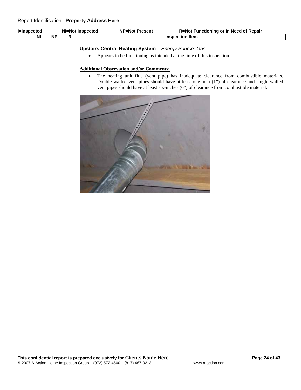| <b>I=Inspected</b> |    | NI=Not Inspected | <b>NP=Not Present</b> | R=Not Functioning or In Need of Repair |
|--------------------|----|------------------|-----------------------|----------------------------------------|
| N                  | ΝP |                  |                       | <b>Inspection Item</b>                 |

## **Upstairs Central Heating System** – *Energy Source: Gas*

• Appears to be functioning as intended at the time of this inspection.

#### **Additional Observation and/or Comments:**

• The heating unit flue (vent pipe) has inadequate clearance from combustible materials. Double walled vent pipes should have at least one-inch (1") of clearance and single walled vent pipes should have at least six-inches (6") of clearance from combustible material.

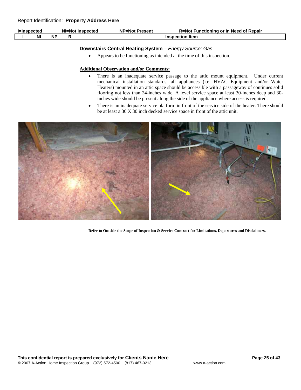| l=Inspected |           |           | NI=Not Inspected | <b>NP=Not Present</b> | R=Not Functioning or In Need of Repair |
|-------------|-----------|-----------|------------------|-----------------------|----------------------------------------|
|             | <b>NI</b> | <b>NP</b> |                  |                       | <b>Inspection Item</b>                 |

## **Downstairs Central Heating System** – *Energy Source: Gas*

• Appears to be functioning as intended at the time of this inspection.

#### **Additional Observation and/or Comments:**

- There is an inadequate service passage to the attic mount equipment. Under current mechanical installation standards, all appliances (i.e. HVAC Equipment and/or Water Heaters) mounted in an attic space should be accessible with a passageway of continues solid flooring not less than 24-inches wide. A level service space at least 30-inches deep and 30 inches wide should be present along the side of the appliance where access is required.
- There is an inadequate service platform in front of the service side of the heater. There should be at least a 30 X 30 inch decked service space in front of the attic unit.

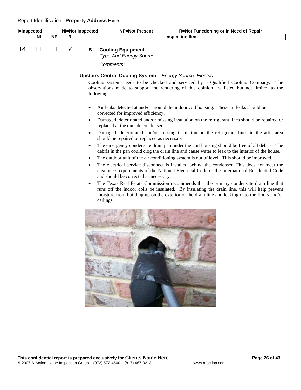| <b>I=Inspected</b> |           |                 |   | <b>NI=Not Inspected</b> | <b>NP=Not Present</b><br>R=Not Functioning or In Need of Repair                                                                                                                                                                                                                                        |
|--------------------|-----------|-----------------|---|-------------------------|--------------------------------------------------------------------------------------------------------------------------------------------------------------------------------------------------------------------------------------------------------------------------------------------------------|
|                    | <b>NI</b> | $\overline{NP}$ | R |                         | <b>Inspection Item</b>                                                                                                                                                                                                                                                                                 |
| ☑                  |           | <b>Tale</b>     | ☑ | В.                      | <b>Cooling Equipment</b><br>Type And Energy Source:<br>Comments:                                                                                                                                                                                                                                       |
|                    |           |                 |   |                         |                                                                                                                                                                                                                                                                                                        |
|                    |           |                 |   |                         | <b>Upstairs Central Cooling System - Energy Source: Electric</b><br>Cooling system needs to be checked and serviced by a Qualified Cooling Company.<br>The<br>observations made to support the rendering of this opinion are listed but not limited to the<br>following:                               |
|                    |           |                 |   |                         | Air leaks detected at and/or around the indoor coil housing. These air leaks should be<br>corrected for improved efficiency.                                                                                                                                                                           |
|                    |           |                 |   |                         | Damaged, deteriorated and/or missing insulation on the refrigerant lines should be repaired or<br>replaced at the outside condenser.                                                                                                                                                                   |
|                    |           |                 |   |                         | Damaged, deteriorated and/or missing insulation on the refrigerant lines in the attic area<br>should be repaired or replaced as necessary.                                                                                                                                                             |
|                    |           |                 |   | $\bullet$<br>٠          | The emergency condensate drain pan under the coil housing should be free of all debris. The<br>debris in the pan could clog the drain line and cause water to leak to the interior of the house.<br>The outdoor unit of the air conditioning system is out of level. This should be improved.          |
|                    |           |                 |   | ٠                       | The electrical service disconnect is installed behind the condenser. This does not meet the<br>clearance requirements of the National Electrical Code or the International Residential Code<br>and should be corrected as necessary.                                                                   |
|                    |           |                 |   | ٠                       | The Texas Real Estate Commission recommends that the primary condensate drain line that<br>runs off the indoor coils be insulated. By insulating the drain line, this will help prevent<br>moisture from building up on the exterior of the drain line and leaking onto the floors and/or<br>ceilings. |
|                    |           |                 |   |                         |                                                                                                                                                                                                                                                                                                        |
|                    |           |                 |   |                         |                                                                                                                                                                                                                                                                                                        |
|                    |           |                 |   |                         |                                                                                                                                                                                                                                                                                                        |
|                    |           |                 |   |                         |                                                                                                                                                                                                                                                                                                        |

**START**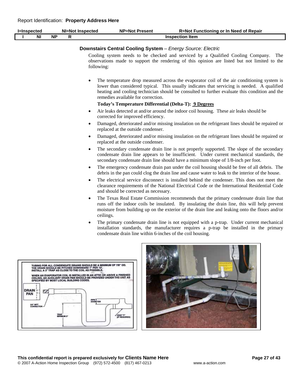| <b>I</b> =Inspected                     |                                         | <b>NI=Not Inspected</b>                                                                                                                                                                                                                                                                                                                                      | <b>NP=Not Present</b><br>R=Not Functioning or In Need of Repair                                                                                                                                                                                                                                                                  |
|-----------------------------------------|-----------------------------------------|--------------------------------------------------------------------------------------------------------------------------------------------------------------------------------------------------------------------------------------------------------------------------------------------------------------------------------------------------------------|----------------------------------------------------------------------------------------------------------------------------------------------------------------------------------------------------------------------------------------------------------------------------------------------------------------------------------|
| <b>NI</b>                               | <b>NP</b><br>$\mathsf{R}$               |                                                                                                                                                                                                                                                                                                                                                              | <b>Inspection Item</b>                                                                                                                                                                                                                                                                                                           |
|                                         |                                         | following:                                                                                                                                                                                                                                                                                                                                                   | <b>Downstairs Central Cooling System - Energy Source: Electric</b><br>Cooling system needs to be checked and serviced by a Qualified Cooling Company.<br>The<br>observations made to support the rendering of this opinion are listed but not limited to the                                                                     |
|                                         |                                         | $\bullet$                                                                                                                                                                                                                                                                                                                                                    | The temperature drop measured across the evaporator coil of the air conditioning system is<br>lower than considered typical. This usually indicates that servicing is needed. A qualified<br>heating and cooling technician should be consulted to further evaluate this condition and the<br>remedies available for correction. |
|                                         |                                         |                                                                                                                                                                                                                                                                                                                                                              | Today's Temperature Differential (Delta-T): 9 Degrees                                                                                                                                                                                                                                                                            |
|                                         |                                         | $\bullet$                                                                                                                                                                                                                                                                                                                                                    | Air leaks detected at and/or around the indoor coil housing. These air leaks should be<br>corrected for improved efficiency.                                                                                                                                                                                                     |
|                                         |                                         | $\bullet$                                                                                                                                                                                                                                                                                                                                                    | Damaged, deteriorated and/or missing insulation on the refrigerant lines should be repaired or<br>replaced at the outside condenser.                                                                                                                                                                                             |
|                                         |                                         | $\bullet$                                                                                                                                                                                                                                                                                                                                                    | Damaged, deteriorated and/or missing insulation on the refrigerant lines should be repaired or<br>replaced at the outside condenser.                                                                                                                                                                                             |
|                                         |                                         | $\bullet$                                                                                                                                                                                                                                                                                                                                                    | The secondary condensate drain line is not properly supported. The slope of the secondary<br>condensate drain line appears to be insufficient. Under current mechanical standards, the<br>secondary condensate drain line should have a minimum slope of 1/8-inch per foot.                                                      |
|                                         |                                         | $\bullet$                                                                                                                                                                                                                                                                                                                                                    | The emergency condensate drain pan under the coil housing should be free of all debris. The<br>debris in the pan could clog the drain line and cause water to leak to the interior of the house.                                                                                                                                 |
|                                         |                                         | $\bullet$                                                                                                                                                                                                                                                                                                                                                    | The electrical service disconnect is installed behind the condenser. This does not meet the<br>clearance requirements of the National Electrical Code or the International Residential Code<br>and should be corrected as necessary.                                                                                             |
|                                         |                                         | $\bullet$<br>ceilings.                                                                                                                                                                                                                                                                                                                                       | The Texas Real Estate Commission recommends that the primary condensate drain line that<br>runs off the indoor coils be insulated. By insulating the drain line, this will help prevent<br>moisture from building up on the exterior of the drain line and leaking onto the floors and/or                                        |
|                                         |                                         | ٠                                                                                                                                                                                                                                                                                                                                                            | The primary condensate drain line is not equipped with a p-trap. Under current mechanical<br>installation standards, the manufacturer requires a p-trap be installed in the primary<br>condensate drain line within 6-inches of the coil housing.                                                                                |
| <b>DRAIN</b><br>PAN<br><b>SHIT MAPT</b> | SPECIFIED BY MOST LOCAL BUILDING CODES. | TUBING FOR ALL CONDENSATE DRAINS SHOULD BE A MINIMUM OF 7/8" OD.<br>THE DRAIN SHOULD BE PITCHED DOWNWARD 1" PER 10".<br>INSTALL A 3" TRAP AS CLOSE TO THE COIL AS POSSIBLE.<br>WHEN AN EVAPORATOR COIL IS INSTALLED IN AN ATTIC OR ABOVE A FINISHED<br>CEILING, AN AUXILIARY DRAIN PAN SHOULD BE PROVIDED UNDER THE UNIT AS<br><b>PUPE &amp;</b><br>DIAMETER | .<br>12120000                                                                                                                                                                                                                                                                                                                    |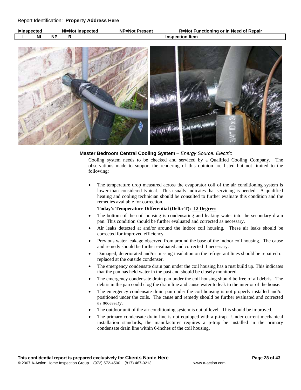| <b>l=Inspected</b> |    |           | NI=Not Inspected | <b>NP=Not Present</b> | <b>R=Not Functioning or In Need of Repair</b> |
|--------------------|----|-----------|------------------|-----------------------|-----------------------------------------------|
|                    | ΝI | <b>NF</b> |                  |                       | <b>Inspection Item</b>                        |



#### **Master Bedroom Central Cooling System** – *Energy Source: Electric*

Cooling system needs to be checked and serviced by a Qualified Cooling Company. The observations made to support the rendering of this opinion are listed but not limited to the following:

• The temperature drop measured across the evaporator coil of the air conditioning system is lower than considered typical. This usually indicates that servicing is needed. A qualified heating and cooling technician should be consulted to further evaluate this condition and the remedies available for correction.

#### **Today's Temperature Differential (Delta-T): 12 Degrees**

- The bottom of the coil housing is condensating and leaking water into the secondary drain pan. This condition should be further evaluated and corrected as necessary.
- Air leaks detected at and/or around the indoor coil housing. These air leaks should be corrected for improved efficiency.
- Previous water leakage observed from around the base of the indoor coil housing. The cause and remedy should be further evaluated and corrected if necessary.
- Damaged, deteriorated and/or missing insulation on the refrigerant lines should be repaired or replaced at the outside condenser.
- The emergency condensate drain pan under the coil housing has a rust build up. This indicates that the pan has held water in the past and should be closely monitored.
- The emergency condensate drain pan under the coil housing should be free of all debris. The debris in the pan could clog the drain line and cause water to leak to the interior of the house.
- The emergency condensate drain pan under the coil housing is not properly installed and/or positioned under the coils. The cause and remedy should be further evaluated and corrected as necessary.
- The outdoor unit of the air conditioning system is out of level. This should be improved.
- The primary condensate drain line is not equipped with a p-trap. Under current mechanical installation standards, the manufacturer requires a p-trap be installed in the primary condensate drain line within 6-inches of the coil housing.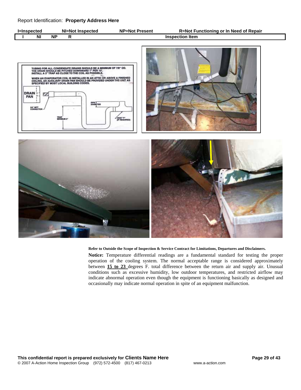| <b>I=Inspected</b> |           | NI=Not Inspected | <b>NP=Not Present</b> | <b>R=Not Functioning or In Need of Repair</b> |
|--------------------|-----------|------------------|-----------------------|-----------------------------------------------|
| ΝI                 | <b>NF</b> |                  |                       | <b>Inspection Item</b>                        |







#### **Refer to Outside the Scope of Inspection & Service Contract for Limitations, Departures and Disclaimers.**

**Notice:** Temperature differential readings are a fundamental standard for testing the proper operation of the cooling system. The normal acceptable range is considered approximately between **15 to 23** degrees F. total difference between the return air and supply air. Unusual conditions such as excessive humidity, low outdoor temperatures, and restricted airflow may indicate abnormal operation even though the equipment is functioning basically as designed and occasionally may indicate normal operation in spite of an equipment malfunction.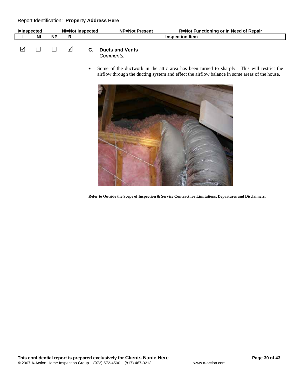| l=Inspected |           |    |    | NI=Not Inspected | <b>NP=Not Present</b>                             | <b>R=Not Functioning or In Need of Repair</b> |
|-------------|-----------|----|----|------------------|---------------------------------------------------|-----------------------------------------------|
|             | <b>NI</b> | ΝP |    |                  |                                                   | <b>Inspection Item</b>                        |
|             |           |    | IМ | C.               | <b>Ducts and Vents</b><br>$\sim$ mm on to $\cdot$ |                                               |

*Comments:*

Some of the ductwork in the attic area has been turned to sharply. This will restrict the airflow through the ducting system and effect the airflow balance in some areas of the house.

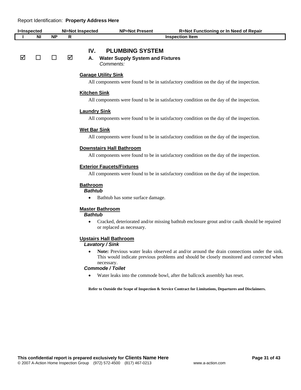|                    | <b>Report Refiguration. Floperty Address Here</b> |           |                         |                                                                                                                             |                                                                                                                       |                                                                                         |  |  |  |
|--------------------|---------------------------------------------------|-----------|-------------------------|-----------------------------------------------------------------------------------------------------------------------------|-----------------------------------------------------------------------------------------------------------------------|-----------------------------------------------------------------------------------------|--|--|--|
| <b>I=Inspected</b> |                                                   |           | <b>NI=Not Inspected</b> |                                                                                                                             | <b>NP=Not Present</b>                                                                                                 | <b>R=Not Functioning or In Need of Repair</b>                                           |  |  |  |
|                    | <b>NI</b>                                         | <b>NP</b> | R                       |                                                                                                                             |                                                                                                                       | <b>Inspection Item</b>                                                                  |  |  |  |
| ☑                  | □                                                 | П         | ☑                       | IV.<br>А.                                                                                                                   | <b>PLUMBING SYSTEM</b><br><b>Water Supply System and Fixtures</b><br>Comments:                                        |                                                                                         |  |  |  |
|                    |                                                   |           |                         |                                                                                                                             |                                                                                                                       |                                                                                         |  |  |  |
|                    |                                                   |           |                         |                                                                                                                             | <b>Garage Utility Sink</b><br>All components were found to be in satisfactory condition on the day of the inspection. |                                                                                         |  |  |  |
|                    |                                                   |           |                         | <b>Kitchen Sink</b>                                                                                                         |                                                                                                                       |                                                                                         |  |  |  |
|                    |                                                   |           |                         |                                                                                                                             |                                                                                                                       | All components were found to be in satisfactory condition on the day of the inspection. |  |  |  |
|                    |                                                   |           |                         | <b>Laundry Sink</b><br>All components were found to be in satisfactory condition on the day of the inspection.              |                                                                                                                       |                                                                                         |  |  |  |
|                    |                                                   |           |                         | <b>Wet Bar Sink</b>                                                                                                         |                                                                                                                       | All components were found to be in satisfactory condition on the day of the inspection. |  |  |  |
|                    |                                                   |           |                         | <b>Downstairs Hall Bathroom</b><br>All components were found to be in satisfactory condition on the day of the inspection.  |                                                                                                                       |                                                                                         |  |  |  |
|                    |                                                   |           |                         | <b>Exterior Faucets/Fixtures</b><br>All components were found to be in satisfactory condition on the day of the inspection. |                                                                                                                       |                                                                                         |  |  |  |
|                    |                                                   |           |                         | <b>Bathroom</b><br><b>Bathtub</b><br>٠                                                                                      | Bathtub has some surface damage.                                                                                      |                                                                                         |  |  |  |

## **Master Bathroom**

*Bathtub* 

• Cracked, deteriorated and/or missing bathtub enclosure grout and/or caulk should be repaired or replaced as necessary.

#### **Upstairs Hall Bathroom**

### *Lavatory / Sink*

• **Note:** Previous water leaks observed at and/or around the drain connections under the sink. This would indicate previous problems and should be closely monitored and corrected when necessary.

## *Commode / Toilet*

• Water leaks into the commode bowl, after the ballcock assembly has reset.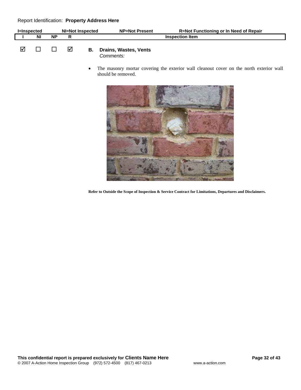| l=Inspected |           | NI=Not Inspected |  |    | <b>NP=Not Present</b>                             | <b>R=Not Functioning or In Need of Repair</b> |
|-------------|-----------|------------------|--|----|---------------------------------------------------|-----------------------------------------------|
|             | <b>NI</b> | <b>NP</b>        |  |    |                                                   | <b>Inspection Item</b>                        |
|             |           |                  |  | В. | <b>Drains, Wastes, Vents</b><br>$\gamma$ ammanto: |                                               |

*Comments:*

The masonry mortar covering the exterior wall cleanout cover on the north exterior wall should be removed.

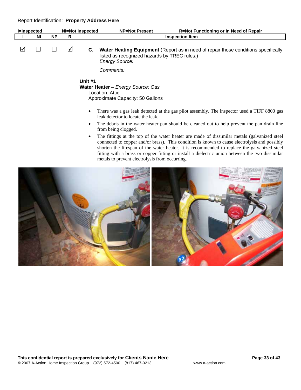| <b>I=Inspected</b> |           |           |   | <b>NI=Not Inspected</b> | <b>NP=Not Present</b>                                                                    | R=Not Functioning or In Need of Repair                                                                                                                                                                                                                                                                                                                                                         |
|--------------------|-----------|-----------|---|-------------------------|------------------------------------------------------------------------------------------|------------------------------------------------------------------------------------------------------------------------------------------------------------------------------------------------------------------------------------------------------------------------------------------------------------------------------------------------------------------------------------------------|
|                    | <b>NI</b> | <b>NP</b> | R |                         |                                                                                          | <b>Inspection Item</b>                                                                                                                                                                                                                                                                                                                                                                         |
| ⋈                  |           |           | ☑ | C.                      | listed as recognized hazards by TREC rules.)<br><b>Energy Source:</b>                    | Water Heating Equipment (Report as in need of repair those conditions specifically                                                                                                                                                                                                                                                                                                             |
|                    |           |           |   |                         | Comments:                                                                                |                                                                                                                                                                                                                                                                                                                                                                                                |
|                    |           |           |   | Unit #1                 | Water Heater - Energy Source: Gas<br>Location: Attic<br>Approximate Capacity: 50 Gallons |                                                                                                                                                                                                                                                                                                                                                                                                |
|                    |           |           |   |                         | leak detector to locate the leak.                                                        | There was a gas leak detected at the gas pilot assembly. The inspector used a TIFF 8800 gas                                                                                                                                                                                                                                                                                                    |
|                    |           |           |   | ٠                       | from being clogged.                                                                      | The debris in the water heater pan should be cleaned out to help prevent the pan drain line                                                                                                                                                                                                                                                                                                    |
|                    |           |           |   | $\bullet$               | metals to prevent electrolysis from occurring.                                           | The fittings at the top of the water heater are made of dissimilar metals (galvanized steel<br>connected to copper and/or brass). This condition is known to cause electrolysis and possibly<br>shorten the lifespan of the water heater. It is recommended to replace the galvanized steel<br>fitting with a brass or copper fitting or install a dielectric union between the two dissimilar |
|                    |           |           |   |                         |                                                                                          |                                                                                                                                                                                                                                                                                                                                                                                                |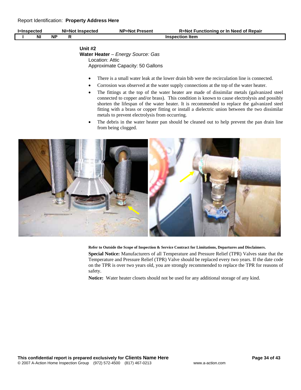| l=Inspected |           |    | NI=Not Inspected | <b>NP=Not Present</b>  | R=Not Functioning or In Need of Repair |
|-------------|-----------|----|------------------|------------------------|----------------------------------------|
|             | <b>NI</b> | ΝP |                  | <b>Inspection Item</b> |                                        |
|             |           |    |                  |                        |                                        |

## **Unit #2 Water Heater** – *Energy Source: Gas* Location: Attic Approximate Capacity: 50 Gallons

- There is a small water leak at the lower drain bib were the recirculation line is connected.
- Corrosion was observed at the water supply connections at the top of the water heater.
- The fittings at the top of the water heater are made of dissimilar metals (galvanized steel connected to copper and/or brass). This condition is known to cause electrolysis and possibly shorten the lifespan of the water heater. It is recommended to replace the galvanized steel fitting with a brass or copper fitting or install a dielectric union between the two dissimilar metals to prevent electrolysis from occurring.
- The debris in the water heater pan should be cleaned out to help prevent the pan drain line from being clogged.



**Refer to Outside the Scope of Inspection & Service Contract for Limitations, Departures and Disclaimers.** 

**Special Notice:** Manufacturers of all Temperature and Pressure Relief (TPR) Valves state that the Temperature and Pressure Relief (TPR) Valve should be replaced every two years. If the date code on the TPR is over two years old, you are strongly recommended to replace the TPR for reasons of safety.

**Notice:** Water heater closets should not be used for any additional storage of any kind.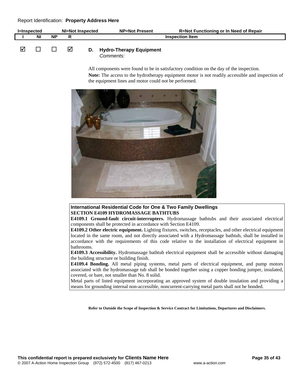| l=Inspected |           | NI=Not Inspected |   |  | <b>NP=Not Present</b>                   | R=Not Functioning or In Need of Repair |
|-------------|-----------|------------------|---|--|-----------------------------------------|----------------------------------------|
|             | <b>NI</b> | <b>NP</b>        |   |  |                                         | <b>Inspection Item</b>                 |
|             |           |                  | ⋈ |  | D. Hydro-Therapy Equipment<br>Comments: |                                        |

All components were found to be in satisfactory condition on the day of the inspection.

**Note:** The access to the hydrotherapy equipment motor is not readily accessible and inspection of the equipment lines and motor could not be performed.



**International Residential Code for One & Two Family Dwellings SECTION E4109 HYDROMASSAGE BATHTUBS** 

**E4109.1 Ground-fault circuit-interrupters.** Hydromassage bathtubs and their associated electrical components shall be protected in accordance with Section E4109.

**E4109.2 Other electric equipment.** Lighting fixtures, switches, receptacles, and other electrical equipment located in the same room, and not directly associated with a Hydromassage bathtub, shall be installed in accordance with the requirements of this code relative to the installation of electrical equipment in bathrooms.

**E4109.3 Accessibility.** Hydromassage bathtub electrical equipment shall be accessible without damaging the building structure or building finish.

**E4109.4 Bonding.** All metal piping systems, metal parts of electrical equipment, and pump motors associated with the hydromassage tub shall be bonded together using a copper bonding jumper, insulated, covered, or bare, not smaller than No. 8 solid.

Metal parts of listed equipment incorporating an approved system of double insulation and providing a means for grounding internal non-accessible, noncurrent-carrying metal parts shall not be bonded.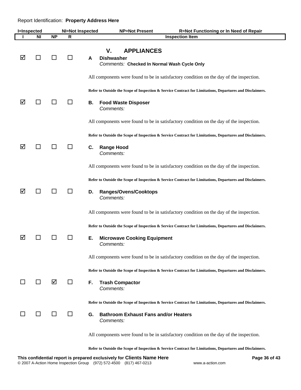| <b>I</b> =Inspected |              |           | <b>NI=Not Inspected</b> |    | <b>NP=Not Present</b><br>R=Not Functioning or In Need of Repair                                                                                                                                                                                                                                                                                          |
|---------------------|--------------|-----------|-------------------------|----|----------------------------------------------------------------------------------------------------------------------------------------------------------------------------------------------------------------------------------------------------------------------------------------------------------------------------------------------------------|
|                     | ΝI           | <b>NP</b> | R                       |    | <b>Inspection Item</b>                                                                                                                                                                                                                                                                                                                                   |
| ☑                   | $\sim$       |           |                         | A  | <b>APPLIANCES</b><br>۷.<br><b>Dishwasher</b><br>Comments: Checked In Normal Wash Cycle Only                                                                                                                                                                                                                                                              |
| ☑                   | ΙI           | ΙI        |                         | В. | All components were found to be in satisfactory condition on the day of the inspection.<br>Refer to Outside the Scope of Inspection & Service Contract for Limitations, Departures and Disclaimers.<br><b>Food Waste Disposer</b><br>Comments:<br>All components were found to be in satisfactory condition on the day of the inspection.                |
| ☑                   | $\mathsf{L}$ | $\Box$    |                         | C. | Refer to Outside the Scope of Inspection & Service Contract for Limitations, Departures and Disclaimers.<br><b>Range Hood</b><br>Comments:<br>All components were found to be in satisfactory condition on the day of the inspection.                                                                                                                    |
| ☑                   | $\mathbf{I}$ |           |                         | D. | Refer to Outside the Scope of Inspection & Service Contract for Limitations, Departures and Disclaimers.<br><b>Ranges/Ovens/Cooktops</b><br>Comments:                                                                                                                                                                                                    |
| ☑                   |              |           |                         | Е. | All components were found to be in satisfactory condition on the day of the inspection.<br>Refer to Outside the Scope of Inspection & Service Contract for Limitations, Departures and Disclaimers.<br><b>Microwave Cooking Equipment</b><br><i>Comments:</i><br>All components were found to be in satisfactory condition on the day of the inspection. |
|                     | $\Box$       | ☑         | $\mathsf{L}$            | F. | Refer to Outside the Scope of Inspection & Service Contract for Limitations, Departures and Disclaimers.<br><b>Trash Compactor</b><br>Comments:<br>Refer to Outside the Scope of Inspection & Service Contract for Limitations, Departures and Disclaimers.                                                                                              |
|                     | П            | ΙI        |                         | G. | <b>Bathroom Exhaust Fans and/or Heaters</b><br>Comments:<br>All components were found to be in satisfactory condition on the day of the inspection.                                                                                                                                                                                                      |
|                     |              |           |                         |    | Refer to Outside the Scope of Inspection & Service Contract for Limitations, Departures and Disclaimers.                                                                                                                                                                                                                                                 |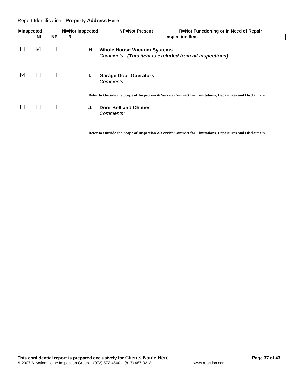| <b>I</b> =Inspected |    |           | NI=Not Inspected |    | <b>NP=Not Present</b>                                                                       | <b>R=Not Functioning or In Need of Repair</b>                                                            |
|---------------------|----|-----------|------------------|----|---------------------------------------------------------------------------------------------|----------------------------------------------------------------------------------------------------------|
|                     | ΝI | <b>NP</b> | R                |    |                                                                                             | <b>Inspection Item</b>                                                                                   |
|                     | ☑  |           |                  | Н. | <b>Whole House Vacuum Systems</b><br>Comments: (This item is excluded from all inspections) |                                                                                                          |
| ☑                   |    |           |                  | L. | <b>Garage Door Operators</b><br>Comments:                                                   |                                                                                                          |
|                     |    |           |                  | J. | <b>Door Bell and Chimes</b><br>Comments:                                                    | Refer to Outside the Scope of Inspection & Service Contract for Limitations, Departures and Disclaimers. |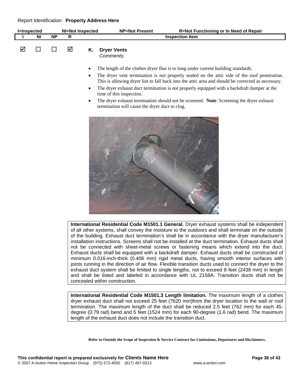| <b>I=Inspected</b> |    |           |   | <b>NI=Not Inspected</b>                          | <b>NP=Not Present</b>                                                      | <b>R=Not Functioning or In Need of Repair</b>                                                                                                                                                                                                                                                                                                                                                                                                                                    |
|--------------------|----|-----------|---|--------------------------------------------------|----------------------------------------------------------------------------|----------------------------------------------------------------------------------------------------------------------------------------------------------------------------------------------------------------------------------------------------------------------------------------------------------------------------------------------------------------------------------------------------------------------------------------------------------------------------------|
|                    | ΝI | <b>NP</b> | R |                                                  |                                                                            | <b>Inspection Item</b>                                                                                                                                                                                                                                                                                                                                                                                                                                                           |
| ☑                  |    |           | ☑ | Κ.                                               | <b>Dryer Vents</b><br>Comments:                                            |                                                                                                                                                                                                                                                                                                                                                                                                                                                                                  |
|                    |    |           |   | $\bullet$<br>$\bullet$<br>$\bullet$<br>$\bullet$ | time of this inspection.<br>termination will cause the dryer duct to clog. | The length of the clothes dryer flue is to long under current building standards.<br>The dryer vent termination is not properly sealed on the attic side of the roof penetration.<br>This is allowing dryer lint to fall back into the attic area and should be corrected as necessary.<br>The dryer exhaust duct termination is not properly equipped with a backdraft damper at the<br>The dryer exhaust termination should not be screened. Note: Screening the dryer exhaust |
|                    |    |           |   |                                                  |                                                                            |                                                                                                                                                                                                                                                                                                                                                                                                                                                                                  |

**International Residential Code M1501.1 General.** Dryer exhaust systems shall be independent of all other systems, shall convey the moisture to the outdoors and shall terminate on the outside of the building. Exhaust duct termination's shall be in accordance with the dryer manufacturer's installation instructions. Screens shall not be installed at the duct termination. Exhaust ducts shall not be connected with sheet-metal screws or fastening means which extend into the duct. Exhaust ducts shall be equipped with a backdraft damper. Exhaust ducts shall be constructed of minimum 0.016-inch-thick (0.406 mm) rigid metal ducts, having smooth interior surfaces with joints running in the direction of air flow. Flexible transition ducts used to connect the dryer to the exhaust duct system shall be limited to single lengths, not to exceed 8 feet (2438 mm) in length and shall be listed and labeled in accordance with UL 2158A. Transition ducts shall not be concealed within construction.

**International Residential Code M1501.3 Length limitation.** The maximum length of a clothes dryer exhaust duct shall not exceed 25 feet (7620 mm)from the dryer location to the wall or roof termination. The maximum length of the duct shall be reduced 2.5 feet (762 mm) for each 45 degree (0.79 rad) bend and 5 feet (1524 mm) for each 90-degree (1.6 rad) bend. The maximum length of the exhaust duct does not include the transition duct.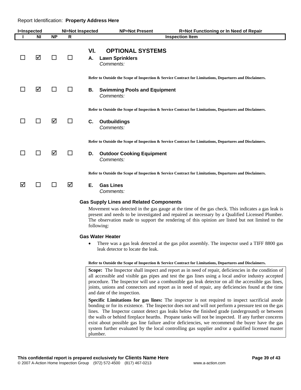| <b>I=Inspected</b> |           |           | <b>NI=Not Inspected</b> |           | <b>NP=Not Present</b>                                          | R=Not Functioning or In Need of Repair                                                                   |
|--------------------|-----------|-----------|-------------------------|-----------|----------------------------------------------------------------|----------------------------------------------------------------------------------------------------------|
|                    | <b>NI</b> | <b>NP</b> | R                       |           |                                                                | <b>Inspection Item</b>                                                                                   |
|                    | ☑         | $\perp$   | $\Box$                  | VI.<br>А. | <b>OPTIONAL SYSTEMS</b><br><b>Lawn Sprinklers</b><br>Comments: |                                                                                                          |
| ΙI                 | ☑         | ΙI        | $\perp$                 | В.        | <b>Swimming Pools and Equipment</b><br>Comments:               | Refer to Outside the Scope of Inspection & Service Contract for Limitations, Departures and Disclaimers. |
|                    | П         | ☑         | ΙI                      | C.        | <b>Outbuildings</b><br>Comments:                               | Refer to Outside the Scope of Inspection & Service Contract for Limitations, Departures and Disclaimers. |
| l.                 | ΙI        | ☑         | ΙI                      | D.        | <b>Outdoor Cooking Equipment</b><br>Comments:                  | Refer to Outside the Scope of Inspection & Service Contract for Limitations, Departures and Disclaimers. |
| ☑                  | П         | ΙI        | ☑                       | Е.        | <b>Gas Lines</b><br>Comments:                                  | Refer to Outside the Scope of Inspection & Service Contract for Limitations, Departures and Disclaimers. |

#### **Gas Supply Lines and Related Components**

Movement was detected in the gas gauge at the time of the gas check. This indicates a gas leak is present and needs to be investigated and repaired as necessary by a Qualified Licensed Plumber. The observation made to support the rendering of this opinion are listed but not limited to the following:

#### **Gas Water Heater**

• There was a gas leak detected at the gas pilot assembly. The inspector used a TIFF 8800 gas leak detector to locate the leak.

#### **Refer to Outside the Scope of Inspection & Service Contract for Limitations, Departures and Disclaimers.**

**Scope:** The Inspector shall inspect and report as in need of repair, deficiencies in the condition of all accessible and visible gas pipes and test the gas lines using a local and/or industry accepted procedure. The Inspector will use a combustible gas leak detector on all the accessible gas lines, joints, unions and connectors and report as in need of repair, any deficiencies found at the time and date of the inspection.

**Specific Limitations for gas lines:** The inspector is not required to inspect sacrificial anode bonding or for its existence. The Inspector does not and will not perform a pressure test on the gas lines. The Inspector cannot detect gas leaks below the finished grade (underground) or between the walls or behind fireplace hearths. Propane tanks will not be inspected. If any further concerns exist about possible gas line failure and/or deficiencies, we recommend the buyer have the gas system further evaluated by the local controlling gas supplier and/or a qualified licensed master plumber.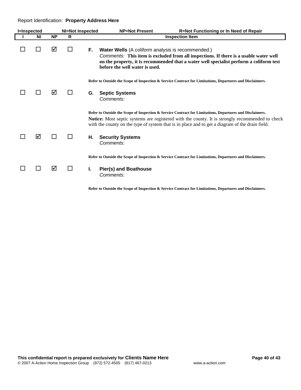| <b>I=Inspected</b> |           |           | <b>NI=Not Inspected</b> |    | <b>NP=Not Present</b>                                                                      | R=Not Functioning or In Need of Repair                                                                                                                                                                                                                                                                                |
|--------------------|-----------|-----------|-------------------------|----|--------------------------------------------------------------------------------------------|-----------------------------------------------------------------------------------------------------------------------------------------------------------------------------------------------------------------------------------------------------------------------------------------------------------------------|
|                    | <b>NI</b> | <b>NP</b> | R                       |    |                                                                                            | <b>Inspection Item</b>                                                                                                                                                                                                                                                                                                |
|                    |           | ☑         | $\mathsf{L}$            | F. | <b>Water Wells</b> (A coliform analysis is recommended.)<br>before the well water is used. | Comments: This item is excluded from all inspections. If there is a usable water well<br>on the property, it is recommended that a water well specialist perform a coliform test                                                                                                                                      |
|                    |           |           |                         |    |                                                                                            | Refer to Outside the Scope of Inspection & Service Contract for Limitations, Departures and Disclaimers.                                                                                                                                                                                                              |
|                    |           | ☑         |                         | G. | <b>Septic Systems</b><br>Comments:                                                         |                                                                                                                                                                                                                                                                                                                       |
|                    |           |           |                         |    |                                                                                            | Refer to Outside the Scope of Inspection & Service Contract for Limitations, Departures and Disclaimers.<br><b>Notice:</b> Most septic systems are registered with the county. It is strongly recommended to check<br>with the county on the type of system that is in place and to get a diagram of the drain field. |
|                    | ☑         |           |                         | Η. | <b>Security Systems</b><br>Comments:                                                       |                                                                                                                                                                                                                                                                                                                       |
|                    |           | ☑         | $\mathsf{L}$            | L. | <b>Pier(s) and Boathouse</b><br>Comments:                                                  | Refer to Outside the Scope of Inspection & Service Contract for Limitations, Departures and Disclaimers.                                                                                                                                                                                                              |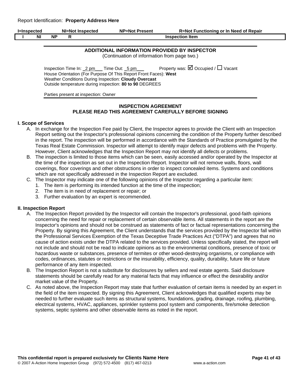| <b>I</b> =Inspected |          | NI=Not Inspected |  | <b>NP=Not Present</b> | <b>R=Not Functioning or In Need of Repair</b> |  |
|---------------------|----------|------------------|--|-----------------------|-----------------------------------------------|--|
|                     | <b>N</b> | ΝP               |  |                       | <b>Inspection Item</b>                        |  |
|                     |          |                  |  |                       |                                               |  |

#### **ADDITIONAL INFORMATION PROVIDED BY INSPECTOR**

(Continuation of information from page two.)

Inspection Time In:  $2 \text{ pm}$  Time Out:  $5 \text{ pm}$  Property was:  $\overline{M}$  Occupied /  $\Box$  Vacant House Orientation (For Purpose Of This Report Front Faces): **West**  Weather Conditions During Inspection: **Cloudy Overcast**  Outside temperature during inspection: **80 to 90** DEGREES

Parties present at inspection: Owner

## **INSPECTION AGREEMENT PLEASE READ THIS AGREEMENT CAREFULLY BEFORE SIGNING**

## **I. Scope of Services**

- A. In exchange for the Inspection Fee paid by Client, the Inspector agrees to provide the Client with an Inspection Report setting out the Inspector's professional opinions concerning the condition of the Property further described in the report. The inspection will be performed in accordance with the Standards of Practice promulgated by the Texas Real Estate Commission. Inspector will attempt to identify major defects and problems with the Property. However, Client acknowledges that the Inspection Report may not identify all defects or problems.
- B. The inspection is limited to those items which can be seen, easily accessed and/or operated by the Inspector at the time of the inspection as set out in the Inspection Report. Inspector will not remove walls, floors, wall coverings, floor coverings and other obstructions in order to inspect concealed items. Systems and conditions which are not specifically addressed in the Inspection Report are excluded.
- C. The Inspector may indicate one of the following opinions of the Inspector regarding a particular item:
	- 1. The item is performing its intended function at the time of the inspection;
		- 2. The item is in need of replacement or repair; or
		- 3. Further evaluation by an expert is recommended.

#### **II. Inspection Report**

- A. The Inspection Report provided by the Inspector will contain the Inspector's professional, good-faith opinions concerning the need for repair or replacement of certain observable items. All statements in the report are the Inspector's opinions and should not be construed as statements of fact or factual representations concerning the Property. By signing this Agreement, the Client understands that the services provided by the Inspector fall within the Professional Services Exemption of the Texas Deceptive Trade Practices Act ("DTPA") and agrees that no cause of action exists under the DTPA related to the services provided. Unless specifically stated, the report will not include and should not be read to indicate opinions as to the environmental conditions, presence of toxic or hazardous waste or substances, presence of termites or other wood-destroying organisms, or compliance with codes, ordinances, statutes or restrictions or the insurability, efficiency, quality, durability, future life or future performance of any item inspected.
- B. The Inspection Report is not a substitute for disclosures by sellers and real estate agents. Said disclosure statements should be carefully read for any material facts that may influence or effect the desirability and/or market value of the Property.
- C. As noted above, the Inspection Report may state that further evaluation of certain items is needed by an expert in the field of the item inspected. By signing this Agreement, Client acknowledges that qualified experts may be needed to further evaluate such items as structural systems, foundations, grading, drainage, roofing, plumbing, electrical systems, HVAC, appliances, sprinkler systems pool system and components, fire/smoke detection systems, septic systems and other observable items as noted in the report.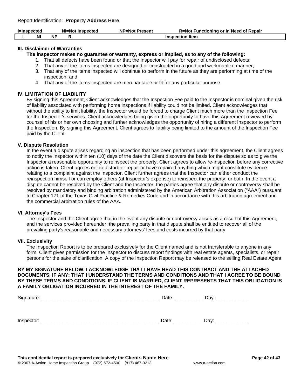| l=Inspected |    | NI=Not Inspected |  | <b>NP=Not Present</b>  | R=Not Functioning or In Need of Repair |  |
|-------------|----|------------------|--|------------------------|----------------------------------------|--|
|             | ΝI | <b>NP</b>        |  | <b>Inspection Item</b> |                                        |  |

## **III. Disclaimer of Warranties**

**The inspector makes no guarantee or warranty, express or implied, as to any of the following:** 

- 1. That all defects have been found or that the Inspector will pay for repair of undisclosed defects;
- 2. That any of the items inspected are designed or constructed in a good and workmanlike manner;
- 3. That any of the items inspected will continue to perform in the future as they are performing at time of the inspection; and
- 4. That any of the items inspected are merchantable or fit for any particular purpose.

#### **IV. LIMITATION OF LIABILITY**

By signing this Agreement, Client acknowledges that the Inspection Fee paid to the Inspector is nominal given the risk of liability associated with performing home inspections if liability could not be limited. Client acknowledges that without the ability to limit liability, the Inspector would be forced to charge Client much more than the Inspection Fee for the Inspector's services. Client acknowledges being given the opportunity to have this Agreement reviewed by counsel of his or her own choosing and further acknowledges the opportunity of hiring a different Inspector to perform the Inspection. By signing this Agreement, Client agrees to liability being limited to the amount of the Inspection Fee paid by the Client.

#### **V. Dispute Resolution**

In the event a dispute arises regarding an inspection that has been performed under this agreement, the Client agrees to notify the Inspector within ten (10) days of the date the Client discovers the basis for the dispute so as to give the Inspector a reasonable opportunity to reinspect the property. Client agrees to allow re-inspection before any corrective action is taken. Client agrees not to disturb or repair or have repaired anything which might constitute evidence relating to a complaint against the Inspector. Client further agrees that the Inspector can either conduct the reinspection himself or can employ others (at Inspector's expense) to reinspect the property, or both. In the event a dispute cannot be resolved by the Client and the Inspector, the parties agree that any dispute or controversy shall be resolved by mandatory and binding arbitration administered by the American Arbitration Association ("AAA") pursuant to Chapter 171 of the Texas Civil Practice & Remedies Code and in accordance with this arbitration agreement and the commercial arbitration rules of the AAA.

#### **VI. Attorney's Fees**

The Inspector and the Client agree that in the event any dispute or controversy arises as a result of this Agreement, and the services provided hereunder, the prevailing party in that dispute shall be entitled to recover all of the prevailing party's reasonable and necessary attorneys' fees and costs incurred by that party.

#### **VII. Exclusivity**

The Inspection Report is to be prepared exclusively for the Client named and is not transferable to anyone in any form. Client gives permission for the Inspector to discuss report findings with real estate agents, specialists, or repair persons for the sake of clarification. A copy of the Inspection Report may be released to the selling Real Estate Agent.

## **BY MY SIGNATURE BELOW, I ACKNOWLEDGE THAT I HAVE READ THIS CONTRACT AND THE ATTACHED DOCUMENTS, IF ANY; THAT I UNDERSTAND THE TERMS AND CONDITIONS AND THAT I AGREE TO BE BOUND BY THESE TERMS AND CONDITIONS. IF CLIENT IS MARRIED, CLIENT REPRESENTS THAT THIS OBLIGATION IS A FAMILY OBLIGATION INCURRED IN THE INTEREST OF THE FAMILY.**

| Signature: $\_$ | Date: | Day: |
|-----------------|-------|------|
|                 |       |      |
| Inspector:      | Date: | Dav: |